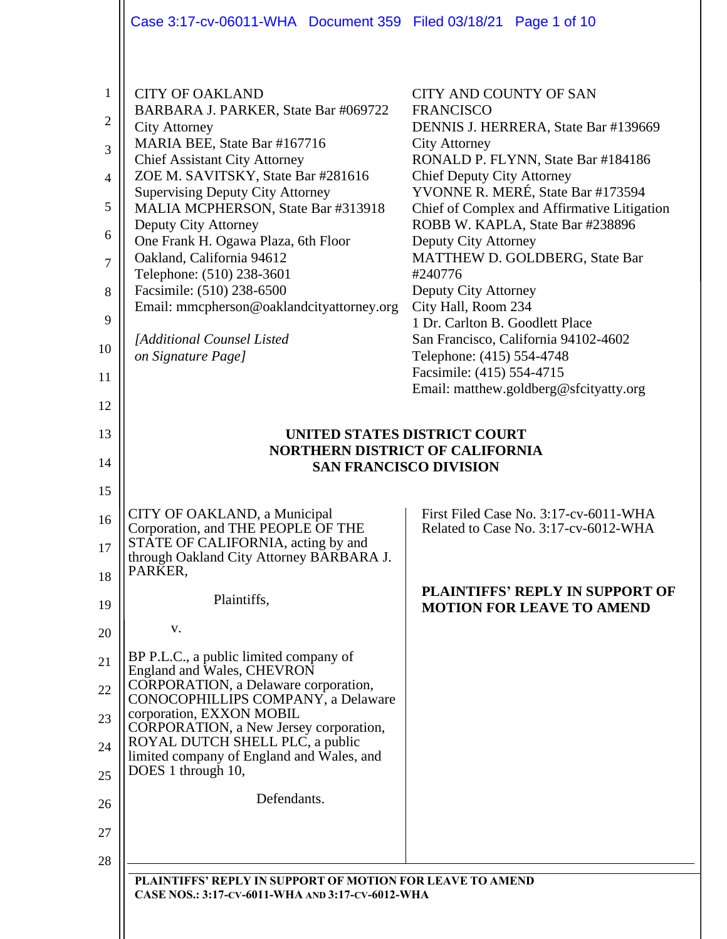|                                                                                                         | Case 3:17-cv-06011-WHA  Document 359  Filed 03/18/21  Page 1 of 10                                                                                                                                                                                                                                                                                                                                                                                                                                                                           |                                                                                                                                                                                                                                                                                                                                                                                                                                                                                                                                                                               |  |  |
|---------------------------------------------------------------------------------------------------------|----------------------------------------------------------------------------------------------------------------------------------------------------------------------------------------------------------------------------------------------------------------------------------------------------------------------------------------------------------------------------------------------------------------------------------------------------------------------------------------------------------------------------------------------|-------------------------------------------------------------------------------------------------------------------------------------------------------------------------------------------------------------------------------------------------------------------------------------------------------------------------------------------------------------------------------------------------------------------------------------------------------------------------------------------------------------------------------------------------------------------------------|--|--|
| $\mathbf{1}$<br>$\overline{2}$<br>3<br>$\overline{4}$<br>5<br>6<br>$\overline{7}$<br>8<br>9<br>10<br>11 | <b>CITY OF OAKLAND</b><br>BARBARA J. PARKER, State Bar #069722<br><b>City Attorney</b><br>MARIA BEE, State Bar #167716<br><b>Chief Assistant City Attorney</b><br>ZOE M. SAVITSKY, State Bar #281616<br><b>Supervising Deputy City Attorney</b><br>MALIA MCPHERSON, State Bar #313918<br>Deputy City Attorney<br>One Frank H. Ogawa Plaza, 6th Floor<br>Oakland, California 94612<br>Telephone: (510) 238-3601<br>Facsimile: (510) 238-6500<br>Email: mmcpherson@oaklandcityattorney.org<br>[Additional Counsel Listed<br>on Signature Page] | <b>CITY AND COUNTY OF SAN</b><br><b>FRANCISCO</b><br>DENNIS J. HERRERA, State Bar #139669<br><b>City Attorney</b><br>RONALD P. FLYNN, State Bar #184186<br><b>Chief Deputy City Attorney</b><br>YVONNE R. MERÉ, State Bar #173594<br>Chief of Complex and Affirmative Litigation<br>ROBB W. KAPLA, State Bar #238896<br>Deputy City Attorney<br>MATTHEW D. GOLDBERG, State Bar<br>#240776<br>Deputy City Attorney<br>City Hall, Room 234<br>1 Dr. Carlton B. Goodlett Place<br>San Francisco, California 94102-4602<br>Telephone: (415) 554-4748<br>Facsimile: (415) 554-4715 |  |  |
| 12                                                                                                      |                                                                                                                                                                                                                                                                                                                                                                                                                                                                                                                                              | Email: matthew.goldberg@sfcityatty.org                                                                                                                                                                                                                                                                                                                                                                                                                                                                                                                                        |  |  |
| 13                                                                                                      | UNITED STATES DISTRICT COURT                                                                                                                                                                                                                                                                                                                                                                                                                                                                                                                 |                                                                                                                                                                                                                                                                                                                                                                                                                                                                                                                                                                               |  |  |
| 14                                                                                                      | <b>NORTHERN DISTRICT OF CALIFORNIA</b><br><b>SAN FRANCISCO DIVISION</b>                                                                                                                                                                                                                                                                                                                                                                                                                                                                      |                                                                                                                                                                                                                                                                                                                                                                                                                                                                                                                                                                               |  |  |
| 15                                                                                                      |                                                                                                                                                                                                                                                                                                                                                                                                                                                                                                                                              |                                                                                                                                                                                                                                                                                                                                                                                                                                                                                                                                                                               |  |  |
| 16<br>17<br>18                                                                                          | CITY OF OAKLAND, a Municipal<br>Corporation, and THE PEOPLE OF THE<br>STATE OF CALIFORNIA, acting by and<br>through Oakland City Attorney BARBARA J.<br>PARKER,                                                                                                                                                                                                                                                                                                                                                                              | First Filed Case No. 3:17-cv-6011-WHA<br>Related to Case No. 3:17-cv-6012-WHA                                                                                                                                                                                                                                                                                                                                                                                                                                                                                                 |  |  |
| 19                                                                                                      | Plaintiffs,                                                                                                                                                                                                                                                                                                                                                                                                                                                                                                                                  | <b>PLAINTIFFS' REPLY IN SUPPORT OF</b><br><b>MOTION FOR LEAVE TO AMEND</b>                                                                                                                                                                                                                                                                                                                                                                                                                                                                                                    |  |  |
| 20                                                                                                      | V.                                                                                                                                                                                                                                                                                                                                                                                                                                                                                                                                           |                                                                                                                                                                                                                                                                                                                                                                                                                                                                                                                                                                               |  |  |
| 21<br>22                                                                                                | BP P.L.C., a public limited company of<br>England and Wales, CHEVRON<br>CORPORATION, a Delaware corporation,                                                                                                                                                                                                                                                                                                                                                                                                                                 |                                                                                                                                                                                                                                                                                                                                                                                                                                                                                                                                                                               |  |  |
| 23                                                                                                      | CONOCOPHILLIPS COMPANY, a Delaware<br>corporation, EXXON MOBIL                                                                                                                                                                                                                                                                                                                                                                                                                                                                               |                                                                                                                                                                                                                                                                                                                                                                                                                                                                                                                                                                               |  |  |
| 24                                                                                                      | CORPORATION, a New Jersey corporation,<br>ROYAL DUTCH SHELL PLC, a public                                                                                                                                                                                                                                                                                                                                                                                                                                                                    |                                                                                                                                                                                                                                                                                                                                                                                                                                                                                                                                                                               |  |  |
| 25                                                                                                      | limited company of England and Wales, and<br>DOES 1 through 10,                                                                                                                                                                                                                                                                                                                                                                                                                                                                              |                                                                                                                                                                                                                                                                                                                                                                                                                                                                                                                                                                               |  |  |
| 26                                                                                                      | Defendants.                                                                                                                                                                                                                                                                                                                                                                                                                                                                                                                                  |                                                                                                                                                                                                                                                                                                                                                                                                                                                                                                                                                                               |  |  |
| 27                                                                                                      |                                                                                                                                                                                                                                                                                                                                                                                                                                                                                                                                              |                                                                                                                                                                                                                                                                                                                                                                                                                                                                                                                                                                               |  |  |
| 28                                                                                                      |                                                                                                                                                                                                                                                                                                                                                                                                                                                                                                                                              |                                                                                                                                                                                                                                                                                                                                                                                                                                                                                                                                                                               |  |  |
|                                                                                                         | PLAINTIFFS' REPLY IN SUPPORT OF MOTION FOR LEAVE TO AMEND<br>CASE NOS.: 3:17-CV-6011-WHA AND 3:17-CV-6012-WHA                                                                                                                                                                                                                                                                                                                                                                                                                                |                                                                                                                                                                                                                                                                                                                                                                                                                                                                                                                                                                               |  |  |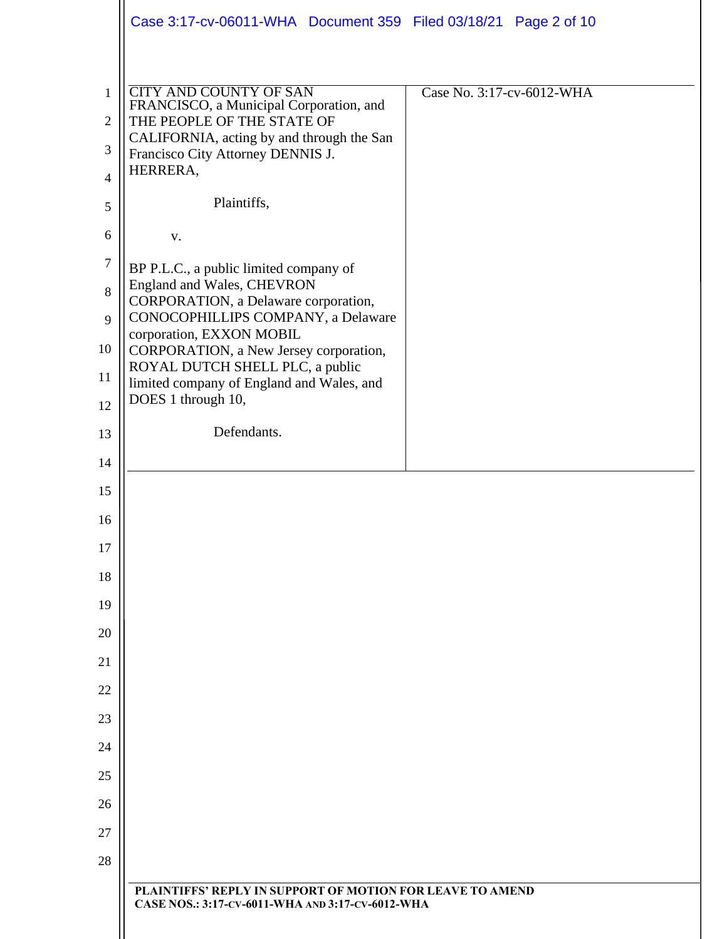|                                | Case 3:17-cv-06011-WHA Document 359 Filed 03/18/21 Page 2 of 10                                               |                           |
|--------------------------------|---------------------------------------------------------------------------------------------------------------|---------------------------|
|                                |                                                                                                               |                           |
| $\mathbf{1}$<br>$\overline{2}$ | <b>CITY AND COUNTY OF SAN</b><br>FRANCISCO, a Municipal Corporation, and<br>THE PEOPLE OF THE STATE OF        | Case No. 3:17-cv-6012-WHA |
|                                | CALIFORNIA, acting by and through the San                                                                     |                           |
| 3<br>$\overline{4}$            | Francisco City Attorney DENNIS J.<br>HERRERA,                                                                 |                           |
| 5                              | Plaintiffs,                                                                                                   |                           |
| 6                              | V.                                                                                                            |                           |
| $\tau$                         |                                                                                                               |                           |
| 8                              | BP P.L.C., a public limited company of<br>England and Wales, CHEVRON                                          |                           |
| 9                              | CORPORATION, a Delaware corporation,<br>CONOCOPHILLIPS COMPANY, a Delaware                                    |                           |
| 10                             | corporation, EXXON MOBIL<br>CORPORATION, a New Jersey corporation,                                            |                           |
| 11                             | ROYAL DUTCH SHELL PLC, a public<br>limited company of England and Wales, and                                  |                           |
| 12                             | DOES 1 through 10,                                                                                            |                           |
| 13                             | Defendants.                                                                                                   |                           |
| 14                             |                                                                                                               |                           |
| 15                             |                                                                                                               |                           |
| 16                             |                                                                                                               |                           |
| 17                             |                                                                                                               |                           |
| 18                             |                                                                                                               |                           |
| 19                             |                                                                                                               |                           |
| 20                             |                                                                                                               |                           |
| 21<br>22                       |                                                                                                               |                           |
| 23                             |                                                                                                               |                           |
| 24                             |                                                                                                               |                           |
| 25                             |                                                                                                               |                           |
| 26                             |                                                                                                               |                           |
| 27                             |                                                                                                               |                           |
| 28                             |                                                                                                               |                           |
|                                | PLAINTIFFS' REPLY IN SUPPORT OF MOTION FOR LEAVE TO AMEND<br>CASE NOS.: 3:17-CV-6011-WHA AND 3:17-CV-6012-WHA |                           |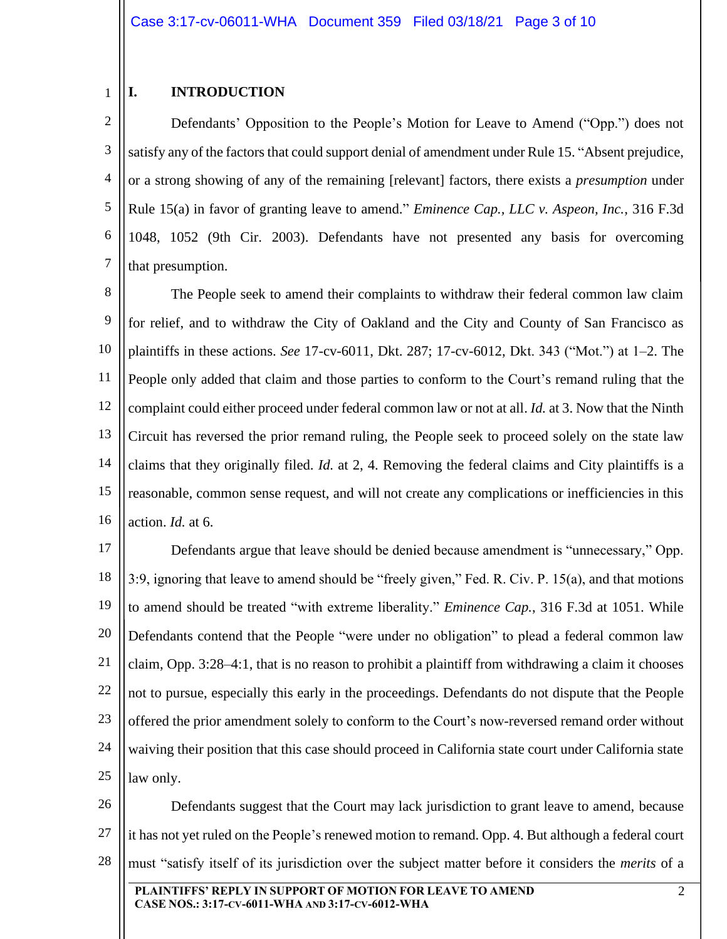#### 1 **I. INTRODUCTION**

2 3 4 5 6 7 Defendants' Opposition to the People's Motion for Leave to Amend ("Opp.") does not satisfy any of the factors that could support denial of amendment under Rule 15. "Absent prejudice, or a strong showing of any of the remaining [relevant] factors, there exists a *presumption* under Rule 15(a) in favor of granting leave to amend." *Eminence Cap., LLC v. Aspeon, Inc.*, 316 F.3d 1048, 1052 (9th Cir. 2003). Defendants have not presented any basis for overcoming that presumption.

8 9 10 11 12 13 14 15 16 The People seek to amend their complaints to withdraw their federal common law claim for relief, and to withdraw the City of Oakland and the City and County of San Francisco as plaintiffs in these actions. *See* 17-cv-6011, Dkt. 287; 17-cv-6012, Dkt. 343 ("Mot.") at 1–2. The People only added that claim and those parties to conform to the Court's remand ruling that the complaint could either proceed under federal common law or not at all. *Id.* at 3. Now that the Ninth Circuit has reversed the prior remand ruling, the People seek to proceed solely on the state law claims that they originally filed. *Id.* at 2, 4. Removing the federal claims and City plaintiffs is a reasonable, common sense request, and will not create any complications or inefficiencies in this action. *Id.* at 6.

17 18 19 20 21 22 23 24 25 Defendants argue that leave should be denied because amendment is "unnecessary," Opp. 3:9, ignoring that leave to amend should be "freely given," Fed. R. Civ. P. 15(a), and that motions to amend should be treated "with extreme liberality." *Eminence Cap.*, 316 F.3d at 1051. While Defendants contend that the People "were under no obligation" to plead a federal common law claim, Opp. 3:28–4:1, that is no reason to prohibit a plaintiff from withdrawing a claim it chooses not to pursue, especially this early in the proceedings. Defendants do not dispute that the People offered the prior amendment solely to conform to the Court's now-reversed remand order without waiving their position that this case should proceed in California state court under California state law only.

26 27 28 Defendants suggest that the Court may lack jurisdiction to grant leave to amend, because it has not yet ruled on the People's renewed motion to remand. Opp. 4. But although a federal court must "satisfy itself of its jurisdiction over the subject matter before it considers the *merits* of a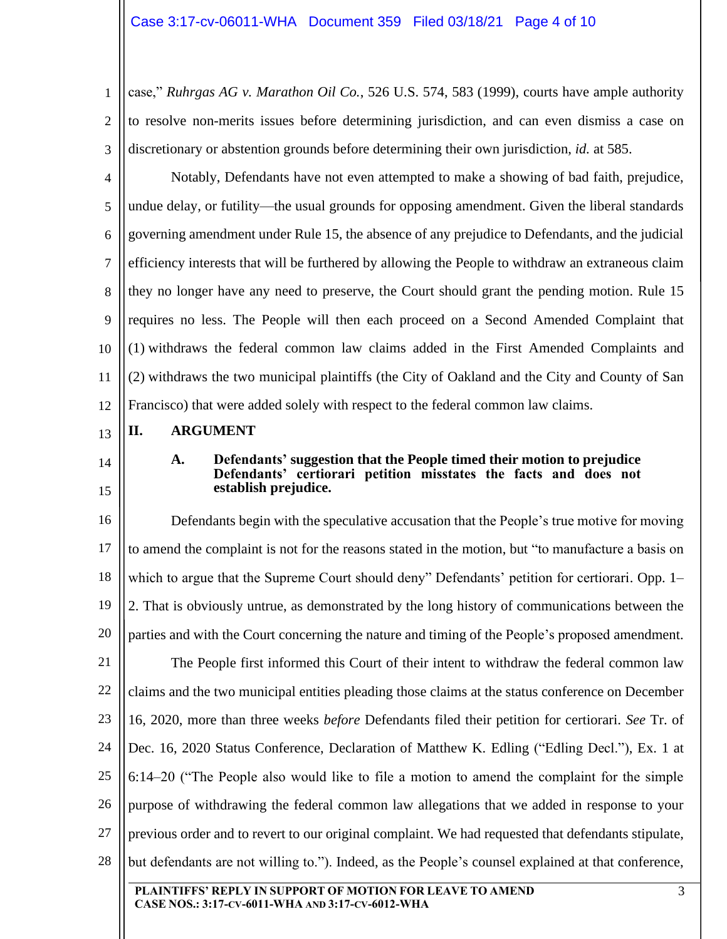1 2 3 case," *Ruhrgas AG v. Marathon Oil Co.*, 526 U.S. 574, 583 (1999), courts have ample authority to resolve non-merits issues before determining jurisdiction, and can even dismiss a case on discretionary or abstention grounds before determining their own jurisdiction, *id.* at 585.

4 5 6 7 8 9 10 11 12 Notably, Defendants have not even attempted to make a showing of bad faith, prejudice, undue delay, or futility—the usual grounds for opposing amendment. Given the liberal standards governing amendment under Rule 15, the absence of any prejudice to Defendants, and the judicial efficiency interests that will be furthered by allowing the People to withdraw an extraneous claim they no longer have any need to preserve, the Court should grant the pending motion. Rule 15 requires no less. The People will then each proceed on a Second Amended Complaint that (1) withdraws the federal common law claims added in the First Amended Complaints and (2) withdraws the two municipal plaintiffs (the City of Oakland and the City and County of San Francisco) that were added solely with respect to the federal common law claims.

### 13 **II. ARGUMENT**

14

15

## **A. Defendants' suggestion that the People timed their motion to prejudice Defendants' certiorari petition misstates the facts and does not establish prejudice.**

**PLAINTIFFS' REPLY IN SUPPORT OF MOTION FOR LEAVE TO AMEND** 16 17 18 19 20 21 22 23 24 25 26 27 28 Defendants begin with the speculative accusation that the People's true motive for moving to amend the complaint is not for the reasons stated in the motion, but "to manufacture a basis on which to argue that the Supreme Court should deny" Defendants' petition for certiorari. Opp. 1– 2. That is obviously untrue, as demonstrated by the long history of communications between the parties and with the Court concerning the nature and timing of the People's proposed amendment. The People first informed this Court of their intent to withdraw the federal common law claims and the two municipal entities pleading those claims at the status conference on December 16, 2020, more than three weeks *before* Defendants filed their petition for certiorari. *See* Tr. of Dec. 16, 2020 Status Conference, Declaration of Matthew K. Edling ("Edling Decl."), Ex. 1 at 6:14–20 ("The People also would like to file a motion to amend the complaint for the simple purpose of withdrawing the federal common law allegations that we added in response to your previous order and to revert to our original complaint. We had requested that defendants stipulate, but defendants are not willing to."). Indeed, as the People's counsel explained at that conference,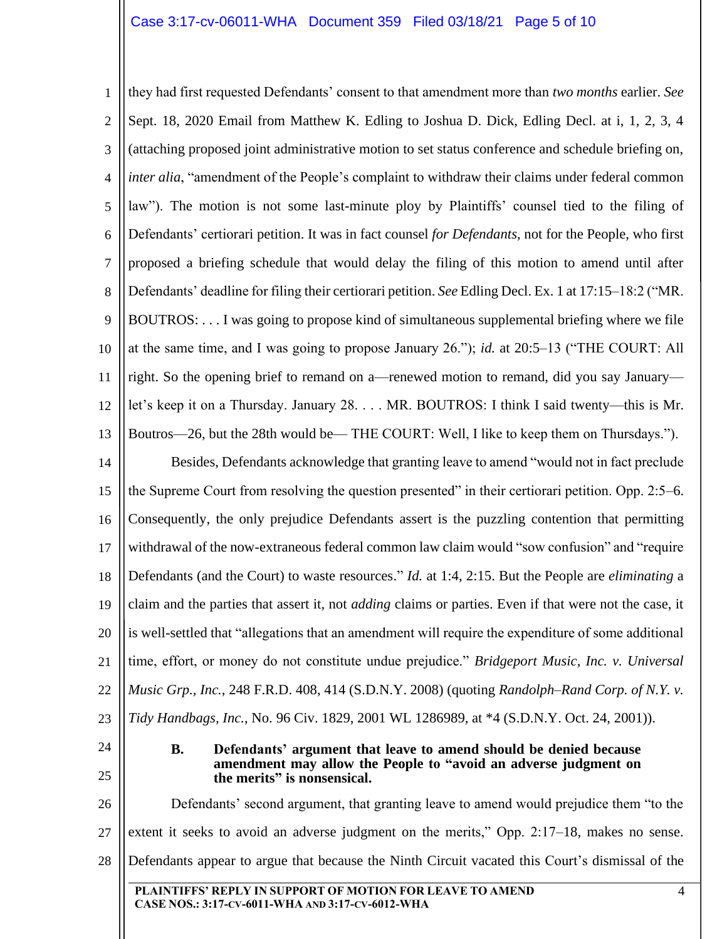1 2 3 4 5 6 7 8 9 10 11 12 13 14 15 16 17 18 19 20 21 22 23 24 25 26 27 they had first requested Defendants' consent to that amendment more than *two months* earlier. *See*  Sept. 18, 2020 Email from Matthew K. Edling to Joshua D. Dick, Edling Decl. at i, 1, 2, 3, 4 (attaching proposed joint administrative motion to set status conference and schedule briefing on, *inter alia*, "amendment of the People's complaint to withdraw their claims under federal common law"). The motion is not some last-minute ploy by Plaintiffs' counsel tied to the filing of Defendants' certiorari petition. It was in fact counsel *for Defendants*, not for the People, who first proposed a briefing schedule that would delay the filing of this motion to amend until after Defendants' deadline for filing their certiorari petition. *See* Edling Decl. Ex. 1 at 17:15–18:2 ("MR. BOUTROS: . . . I was going to propose kind of simultaneous supplemental briefing where we file at the same time, and I was going to propose January 26."); *id.* at 20:5–13 ("THE COURT: All right. So the opening brief to remand on a—renewed motion to remand, did you say January let's keep it on a Thursday. January 28. . . . MR. BOUTROS: I think I said twenty—this is Mr. Boutros—26, but the 28th would be— THE COURT: Well, I like to keep them on Thursdays."). Besides, Defendants acknowledge that granting leave to amend "would not in fact preclude the Supreme Court from resolving the question presented" in their certiorari petition. Opp. 2:5–6. Consequently, the only prejudice Defendants assert is the puzzling contention that permitting withdrawal of the now-extraneous federal common law claim would "sow confusion" and "require Defendants (and the Court) to waste resources." *Id.* at 1:4, 2:15. But the People are *eliminating* a claim and the parties that assert it, not *adding* claims or parties. Even if that were not the case, it is well-settled that "allegations that an amendment will require the expenditure of some additional time, effort, or money do not constitute undue prejudice." *Bridgeport Music, Inc. v. Universal Music Grp., Inc.*, 248 F.R.D. 408, 414 (S.D.N.Y. 2008) (quoting *Randolph–Rand Corp. of N.Y. v. Tidy Handbags, Inc.*, No. 96 Civ. 1829, 2001 WL 1286989, at \*4 (S.D.N.Y. Oct. 24, 2001)). **B. Defendants' argument that leave to amend should be denied because amendment may allow the People to "avoid an adverse judgment on the merits" is nonsensical.** Defendants' second argument, that granting leave to amend would prejudice them "to the extent it seeks to avoid an adverse judgment on the merits," Opp. 2:17–18, makes no sense.

28 Defendants appear to argue that because the Ninth Circuit vacated this Court's dismissal of the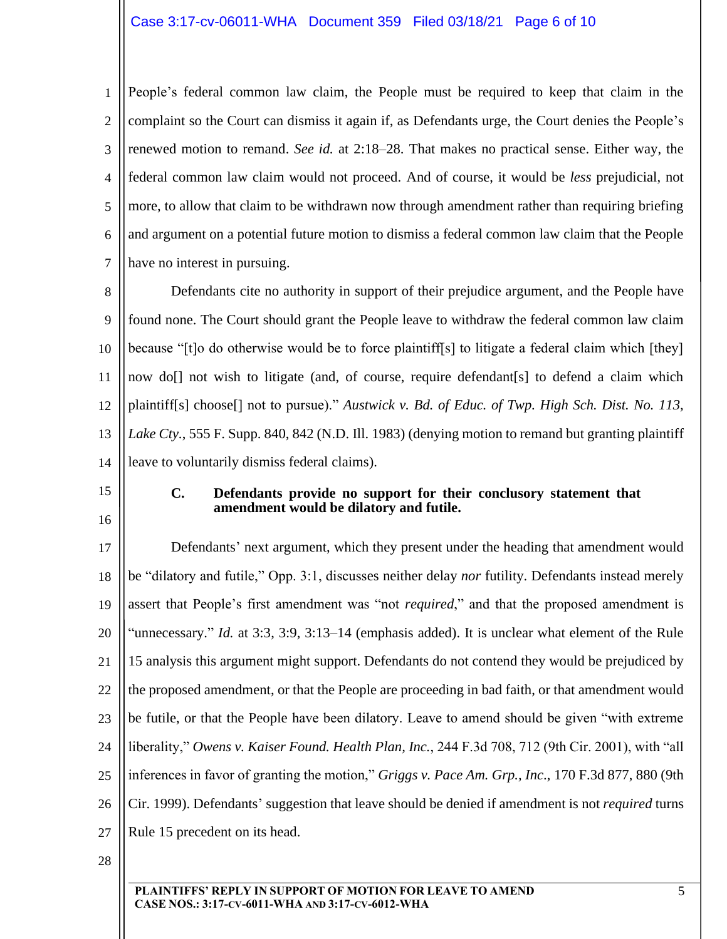1 2 3 4 5 6 7 People's federal common law claim, the People must be required to keep that claim in the complaint so the Court can dismiss it again if, as Defendants urge, the Court denies the People's renewed motion to remand. *See id.* at 2:18–28. That makes no practical sense. Either way, the federal common law claim would not proceed. And of course, it would be *less* prejudicial, not more, to allow that claim to be withdrawn now through amendment rather than requiring briefing and argument on a potential future motion to dismiss a federal common law claim that the People have no interest in pursuing.

8 9 10 11 12 13 14 Defendants cite no authority in support of their prejudice argument, and the People have found none. The Court should grant the People leave to withdraw the federal common law claim because "[t]o do otherwise would be to force plaintiff[s] to litigate a federal claim which [they] now do[] not wish to litigate (and, of course, require defendant [s] to defend a claim which plaintiff[s] choose[] not to pursue)." *Austwick v. Bd. of Educ. of Twp. High Sch. Dist. No. 113, Lake Cty.*, 555 F. Supp. 840, 842 (N.D. Ill. 1983) (denying motion to remand but granting plaintiff leave to voluntarily dismiss federal claims).

- 15
- 16

## **C. Defendants provide no support for their conclusory statement that amendment would be dilatory and futile.**

17 18 19 20 21 22 23 24 25 26 27 Defendants' next argument, which they present under the heading that amendment would be "dilatory and futile," Opp. 3:1, discusses neither delay *nor* futility. Defendants instead merely assert that People's first amendment was "not *required*," and that the proposed amendment is "unnecessary." *Id.* at 3:3, 3:9, 3:13–14 (emphasis added). It is unclear what element of the Rule 15 analysis this argument might support. Defendants do not contend they would be prejudiced by the proposed amendment, or that the People are proceeding in bad faith, or that amendment would be futile, or that the People have been dilatory. Leave to amend should be given "with extreme liberality," *Owens v. Kaiser Found. Health Plan, Inc.*, 244 F.3d 708, 712 (9th Cir. 2001), with "all inferences in favor of granting the motion," *Griggs v. Pace Am. Grp., Inc*., 170 F.3d 877, 880 (9th Cir. 1999). Defendants' suggestion that leave should be denied if amendment is not *required* turns Rule 15 precedent on its head.

28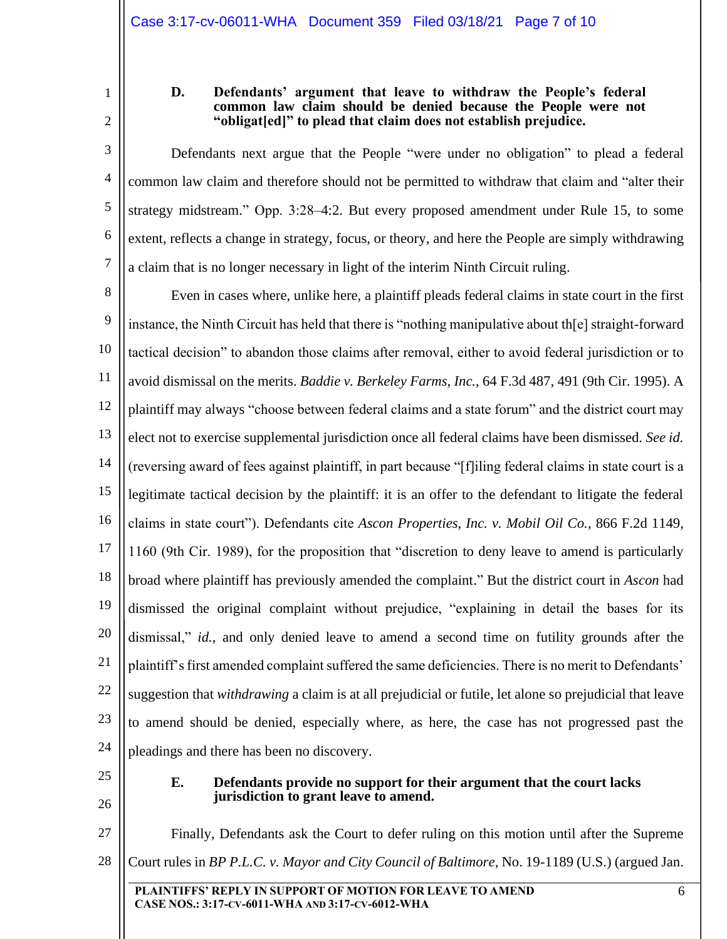1

# **D. Defendants' argument that leave to withdraw the People's federal common law claim should be denied because the People were not "obligat[ed]" to plead that claim does not establish prejudice.**

3 4 5 6 7 Defendants next argue that the People "were under no obligation" to plead a federal common law claim and therefore should not be permitted to withdraw that claim and "alter their strategy midstream." Opp. 3:28–4:2. But every proposed amendment under Rule 15, to some extent, reflects a change in strategy, focus, or theory, and here the People are simply withdrawing a claim that is no longer necessary in light of the interim Ninth Circuit ruling.

8 9 10 11 12 13 14 15 16 17 18 19 20 21 22 23 24 Even in cases where, unlike here, a plaintiff pleads federal claims in state court in the first instance, the Ninth Circuit has held that there is "nothing manipulative about th[e] straight-forward tactical decision" to abandon those claims after removal, either to avoid federal jurisdiction or to avoid dismissal on the merits. *Baddie v. Berkeley Farms, Inc.*, 64 F.3d 487, 491 (9th Cir. 1995). A plaintiff may always "choose between federal claims and a state forum" and the district court may elect not to exercise supplemental jurisdiction once all federal claims have been dismissed. *See id.* (reversing award of fees against plaintiff, in part because "[f]iling federal claims in state court is a legitimate tactical decision by the plaintiff: it is an offer to the defendant to litigate the federal claims in state court"). Defendants cite *Ascon Properties, Inc. v. Mobil Oil Co.*, 866 F.2d 1149, 1160 (9th Cir. 1989), for the proposition that "discretion to deny leave to amend is particularly broad where plaintiff has previously amended the complaint." But the district court in *Ascon* had dismissed the original complaint without prejudice, "explaining in detail the bases for its dismissal," *id.*, and only denied leave to amend a second time on futility grounds after the plaintiff's first amended complaint suffered the same deficiencies. There is no merit to Defendants' suggestion that *withdrawing* a claim is at all prejudicial or futile, let alone so prejudicial that leave to amend should be denied, especially where, as here, the case has not progressed past the pleadings and there has been no discovery.

25

26

## **E. Defendants provide no support for their argument that the court lacks jurisdiction to grant leave to amend.**

**PLAINTIFFS' REPLY IN SUPPORT OF MOTION FOR LEAVE TO AMEND** 6 27 28 Finally, Defendants ask the Court to defer ruling on this motion until after the Supreme Court rules in *BP P.L.C. v. Mayor and City Council of Baltimore*, No. 19-1189 (U.S.) (argued Jan.

<sup>2</sup>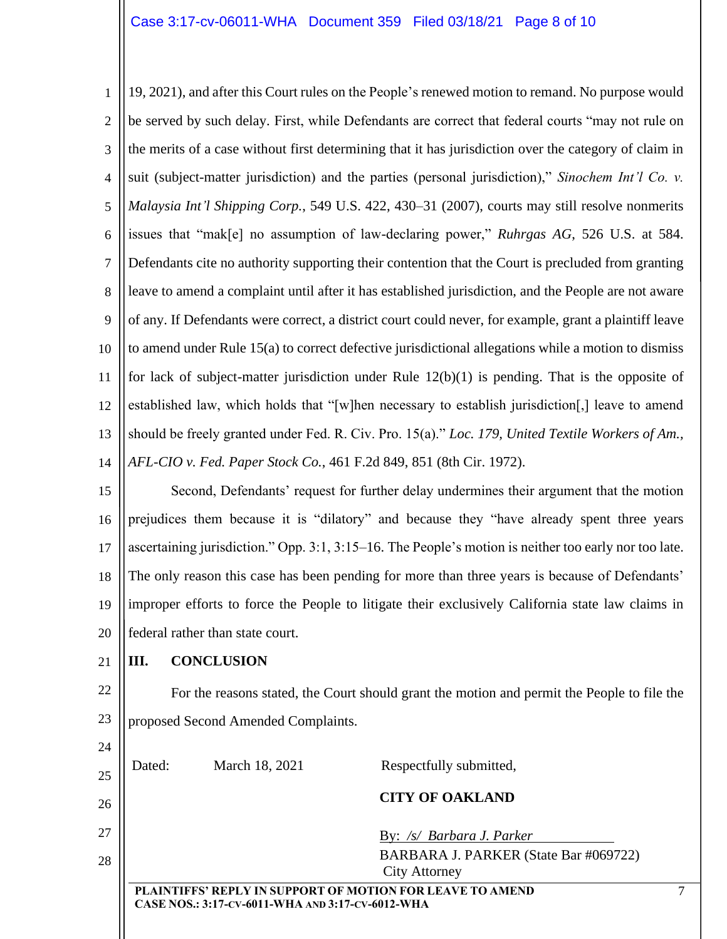1 2 3 4 5 6 7 8 9 10 11 12 13 14 19, 2021), and after this Court rules on the People's renewed motion to remand. No purpose would be served by such delay. First, while Defendants are correct that federal courts "may not rule on the merits of a case without first determining that it has jurisdiction over the category of claim in suit (subject-matter jurisdiction) and the parties (personal jurisdiction)," *Sinochem Int'l Co. v. Malaysia Int'l Shipping Corp.*, 549 U.S. 422, 430–31 (2007), courts may still resolve nonmerits issues that "mak[e] no assumption of law-declaring power," *Ruhrgas AG*, 526 U.S. at 584. Defendants cite no authority supporting their contention that the Court is precluded from granting leave to amend a complaint until after it has established jurisdiction, and the People are not aware of any. If Defendants were correct, a district court could never, for example, grant a plaintiff leave to amend under Rule 15(a) to correct defective jurisdictional allegations while a motion to dismiss for lack of subject-matter jurisdiction under Rule 12(b)(1) is pending. That is the opposite of established law, which holds that "[w]hen necessary to establish jurisdiction[,] leave to amend should be freely granted under Fed. R. Civ. Pro. 15(a)." *Loc. 179, United Textile Workers of Am., AFL-CIO v. Fed. Paper Stock Co.*, 461 F.2d 849, 851 (8th Cir. 1972).

15 16 17 18 19 20 Second, Defendants' request for further delay undermines their argument that the motion prejudices them because it is "dilatory" and because they "have already spent three years ascertaining jurisdiction." Opp. 3:1, 3:15–16. The People's motion is neither too early nor too late. The only reason this case has been pending for more than three years is because of Defendants' improper efforts to force the People to litigate their exclusively California state law claims in federal rather than state court.

21

# **III. CONCLUSION**

22 23 For the reasons stated, the Court should grant the motion and permit the People to file the proposed Second Amended Complaints.

| 24 |        |                                                  |                                                                  |  |
|----|--------|--------------------------------------------------|------------------------------------------------------------------|--|
| 25 | Dated: | March 18, 2021                                   | Respectfully submitted,                                          |  |
| 26 |        |                                                  | <b>CITY OF OAKLAND</b>                                           |  |
| 27 |        |                                                  | By: /s/ Barbara J. Parker                                        |  |
| 28 |        |                                                  | BARBARA J. PARKER (State Bar #069722)<br><b>City Attorney</b>    |  |
|    |        | CASE NOS.: 3:17-CV-6011-WHA AND 3:17-CV-6012-WHA | <b>PLAINTIFFS' REPLY IN SUPPORT OF MOTION FOR LEAVE TO AMEND</b> |  |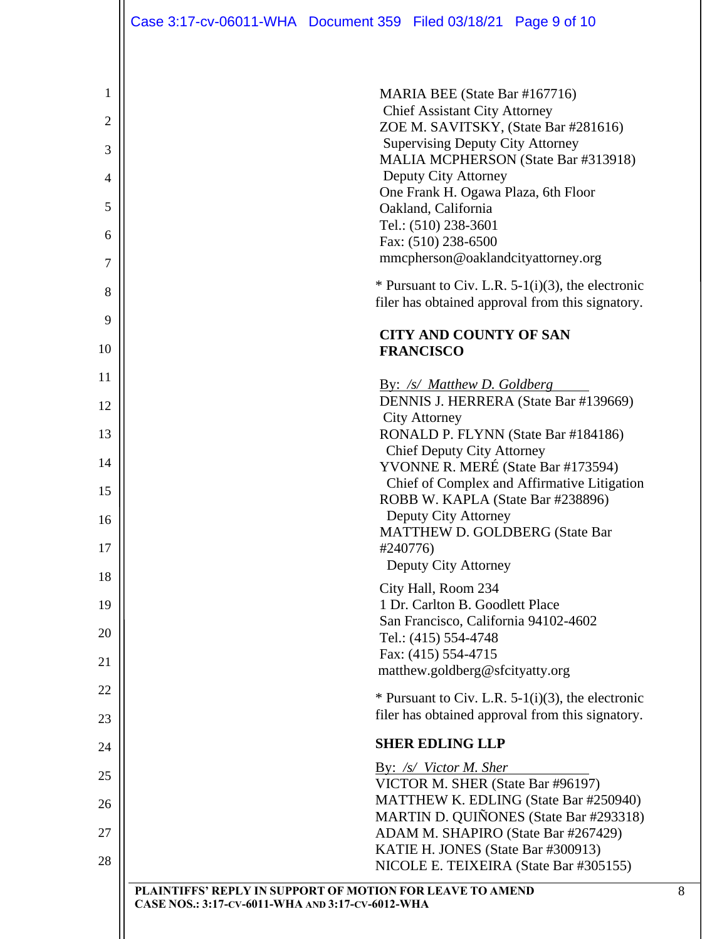|                | Case 3:17-cv-06011-WHA  Document 359  Filed 03/18/21  Page 9 of 10                                            |  |                                                        |                                                                                                          |  |
|----------------|---------------------------------------------------------------------------------------------------------------|--|--------------------------------------------------------|----------------------------------------------------------------------------------------------------------|--|
|                |                                                                                                               |  |                                                        |                                                                                                          |  |
| 1              |                                                                                                               |  | MARIA BEE (State Bar #167716)                          |                                                                                                          |  |
| $\overline{2}$ | <b>Chief Assistant City Attorney</b><br>ZOE M. SAVITSKY, (State Bar #281616)                                  |  |                                                        |                                                                                                          |  |
| 3              | <b>Supervising Deputy City Attorney</b><br>MALIA MCPHERSON (State Bar #313918)                                |  |                                                        |                                                                                                          |  |
| 4              | Deputy City Attorney<br>One Frank H. Ogawa Plaza, 6th Floor                                                   |  |                                                        |                                                                                                          |  |
| 5              | Oakland, California                                                                                           |  |                                                        |                                                                                                          |  |
| 6              | Tel.: (510) 238-3601<br>Fax: (510) 238-6500                                                                   |  |                                                        |                                                                                                          |  |
| 7              | mmcpherson@oaklandcityattorney.org                                                                            |  |                                                        |                                                                                                          |  |
| 8              |                                                                                                               |  |                                                        | * Pursuant to Civ. L.R. $5-1(i)(3)$ , the electronic<br>filer has obtained approval from this signatory. |  |
| 9              |                                                                                                               |  | <b>CITY AND COUNTY OF SAN</b>                          |                                                                                                          |  |
| 10             |                                                                                                               |  | <b>FRANCISCO</b>                                       |                                                                                                          |  |
| 11<br>12       |                                                                                                               |  | By: /s/ Matthew D. Goldberg                            | DENNIS J. HERRERA (State Bar #139669)                                                                    |  |
| 13             |                                                                                                               |  | <b>City Attorney</b>                                   |                                                                                                          |  |
| 14             | RONALD P. FLYNN (State Bar #184186)<br><b>Chief Deputy City Attorney</b>                                      |  |                                                        |                                                                                                          |  |
| 15             |                                                                                                               |  |                                                        | YVONNE R. MERÉ (State Bar #173594)<br>Chief of Complex and Affirmative Litigation                        |  |
| 16             | ROBB W. KAPLA (State Bar #238896)<br>Deputy City Attorney                                                     |  |                                                        |                                                                                                          |  |
| 17             | <b>MATTHEW D. GOLDBERG (State Bar</b><br>#240776)                                                             |  |                                                        |                                                                                                          |  |
| 18             |                                                                                                               |  | Deputy City Attorney                                   |                                                                                                          |  |
| 19             |                                                                                                               |  | City Hall, Room 234<br>1 Dr. Carlton B. Goodlett Place |                                                                                                          |  |
| 20             |                                                                                                               |  | San Francisco, California 94102-4602                   |                                                                                                          |  |
| 21             |                                                                                                               |  | Tel.: (415) 554-4748<br>Fax: (415) 554-4715            |                                                                                                          |  |
| 22             |                                                                                                               |  | matthew.goldberg@sfcityatty.org                        |                                                                                                          |  |
| 23             |                                                                                                               |  |                                                        | * Pursuant to Civ. L.R. $5-1(i)(3)$ , the electronic<br>filer has obtained approval from this signatory. |  |
| 24             |                                                                                                               |  | <b>SHER EDLING LLP</b>                                 |                                                                                                          |  |
| 25             |                                                                                                               |  | <u>By: /s/ Victor M. Sher</u>                          |                                                                                                          |  |
| 26             |                                                                                                               |  | VICTOR M. SHER (State Bar #96197)                      | MATTHEW K. EDLING (State Bar #250940)                                                                    |  |
| 27             |                                                                                                               |  |                                                        | MARTIN D. QUIÑONES (State Bar #293318)<br>ADAM M. SHAPIRO (State Bar #267429)                            |  |
| 28             |                                                                                                               |  | KATIE H. JONES (State Bar #300913)                     | NICOLE E. TEIXEIRA (State Bar #305155)                                                                   |  |
|                | PLAINTIFFS' REPLY IN SUPPORT OF MOTION FOR LEAVE TO AMEND<br>CASE NOS.: 3:17-CV-6011-WHA AND 3:17-CV-6012-WHA |  |                                                        |                                                                                                          |  |

8